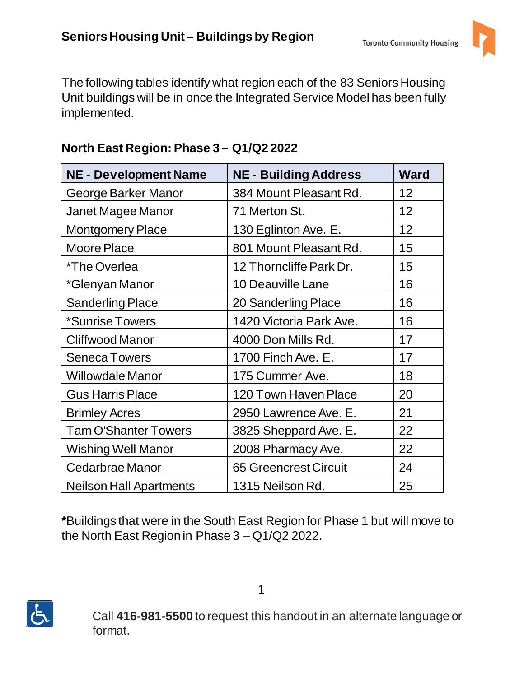

The following tables identify what region each of the 83 Seniors Housing Unit buildings will be in once the Integrated Service Model has been fully implemented.

| <b>NE - Development Name</b>   | <b>NE - Building Address</b> | <b>Ward</b> |
|--------------------------------|------------------------------|-------------|
| George Barker Manor            | 384 Mount Pleasant Rd.       | 12          |
| Janet Magee Manor              | 71 Merton St.                | 12          |
| <b>Montgomery Place</b>        | 130 Eglinton Ave. E.         | 12          |
| <b>Moore Place</b>             | 801 Mount Pleasant Rd.       | 15          |
| *The Overlea                   | 12 Thorncliffe Park Dr.      | 15          |
| *Glenyan Manor                 | <b>10 Deauville Lane</b>     | 16          |
| <b>Sanderling Place</b>        | 20 Sanderling Place          | 16          |
| *Sunrise Towers                | 1420 Victoria Park Ave.      | 16          |
| <b>Cliffwood Manor</b>         | 4000 Don Mills Rd.           | 17          |
| <b>Seneca Towers</b>           | 1700 Finch Ave. E.           | 17          |
| <b>Willowdale Manor</b>        | 175 Cummer Ave.              | 18          |
| <b>Gus Harris Place</b>        | 120 Town Haven Place         | 20          |
| <b>Brimley Acres</b>           | 2950 Lawrence Ave. E.        | 21          |
| <b>Tam O'Shanter Towers</b>    | 3825 Sheppard Ave. E.        | 22          |
| <b>Wishing Well Manor</b>      | 2008 Pharmacy Ave.           | 22          |
| Cedarbrae Manor                | <b>65 Greencrest Circuit</b> | 24          |
| <b>Neilson Hall Apartments</b> | 1315 Neilson Rd.             | 25          |

## **North East Region: Phase 3 – Q1/Q2 2022**

**\***Buildings that were in the South East Region for Phase 1 but will move to the North East Region in Phase 3 – Q1/Q2 2022.



Call **416-981-5500** to request this handout in an alternate language or format.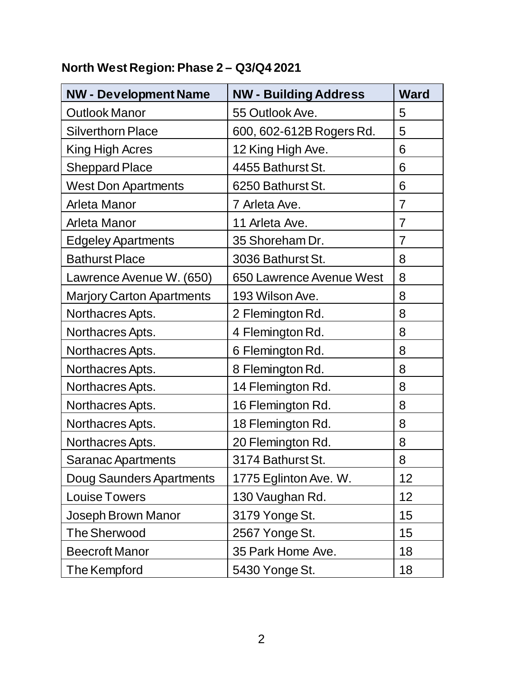## **North West Region: Phase 2 – Q3/Q4 2021**

| <b>NW - Development Name</b>     | <b>NW - Building Address</b> | <b>Ward</b>    |
|----------------------------------|------------------------------|----------------|
| <b>Outlook Manor</b>             | 55 Outlook Ave.              | 5              |
| <b>Silverthorn Place</b>         | 600, 602-612B Rogers Rd.     | 5              |
| King High Acres                  | 12 King High Ave.            | 6              |
| <b>Sheppard Place</b>            | 4455 Bathurst St.            | 6              |
| <b>West Don Apartments</b>       | 6250 Bathurst St.            | 6              |
| Arleta Manor                     | 7 Arleta Ave.                | $\overline{7}$ |
| Arleta Manor                     | 11 Arleta Ave.               | $\overline{7}$ |
| <b>Edgeley Apartments</b>        | 35 Shoreham Dr.              | $\overline{7}$ |
| <b>Bathurst Place</b>            | 3036 Bathurst St.            | 8              |
| Lawrence Avenue W. (650)         | 650 Lawrence Avenue West     | 8              |
| <b>Marjory Carton Apartments</b> | 193 Wilson Ave.              | 8              |
| Northacres Apts.                 | 2 Flemington Rd.             | 8              |
| Northacres Apts.                 | 4 Flemington Rd.             | 8              |
| Northacres Apts.                 | 6 Flemington Rd.             | 8              |
| Northacres Apts.                 | 8 Flemington Rd.             | 8              |
| Northacres Apts.                 | 14 Flemington Rd.            | 8              |
| Northacres Apts.                 | 16 Flemington Rd.            | 8              |
| Northacres Apts.                 | 18 Flemington Rd.            | 8              |
| Northacres Apts.                 | 20 Flemington Rd.            | 8              |
| <b>Saranac Apartments</b>        | 3174 Bathurst St.            | 8              |
| <b>Doug Saunders Apartments</b>  | 1775 Eglinton Ave. W.        | 12             |
| <b>Louise Towers</b>             | 130 Vaughan Rd.              | 12             |
| Joseph Brown Manor               | 3179 Yonge St.               | 15             |
| <b>The Sherwood</b>              | 2567 Yonge St.               | 15             |
| <b>Beecroft Manor</b>            | 35 Park Home Ave.            | 18             |
| The Kempford                     | 5430 Yonge St.               | 18             |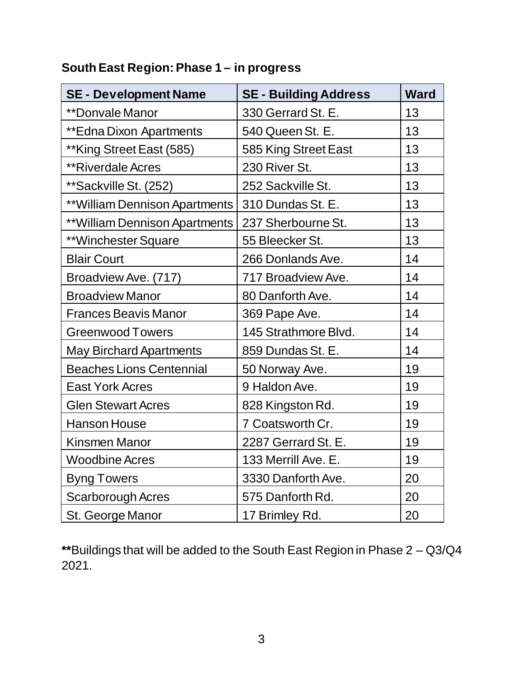| <b>SE - Development Name</b>    | <b>SE - Building Address</b> | <b>Ward</b> |
|---------------------------------|------------------------------|-------------|
| **Donvale Manor                 | 330 Gerrard St. E.           | 13          |
| <b>**Edna Dixon Apartments</b>  | 540 Queen St. E.             | 13          |
| **King Street East (585)        | 585 King Street East         | 13          |
| <b>**Riverdale Acres</b>        | 230 River St.                | 13          |
| **Sackville St. (252)           | 252 Sackville St.            | 13          |
| ** William Dennison Apartments  | 310 Dundas St. E.            | 13          |
| ** William Dennison Apartments  | 237 Sherbourne St.           | 13          |
| **Winchester Square             | 55 Bleecker St.              | 13          |
| <b>Blair Court</b>              | 266 Donlands Ave.            | 14          |
| Broadview Ave. (717)            | 717 Broadview Ave.           | 14          |
| <b>Broadview Manor</b>          | 80 Danforth Ave.             | 14          |
| <b>Frances Beavis Manor</b>     | 369 Pape Ave.                | 14          |
| <b>Greenwood Towers</b>         | 145 Strathmore Blvd.         | 14          |
| <b>May Birchard Apartments</b>  | 859 Dundas St. E.            | 14          |
| <b>Beaches Lions Centennial</b> | 50 Norway Ave.               | 19          |
| <b>East York Acres</b>          | 9 Haldon Ave.                | 19          |
| <b>Glen Stewart Acres</b>       | 828 Kingston Rd.             | 19          |
| <b>Hanson House</b>             | 7 Coatsworth Cr.             | 19          |
| <b>Kinsmen Manor</b>            | 2287 Gerrard St. E.          | 19          |
| <b>Woodbine Acres</b>           | 133 Merrill Ave. E.          | 19          |
| <b>Byng Towers</b>              | 3330 Danforth Ave.           | 20          |
| <b>Scarborough Acres</b>        | 575 Danforth Rd.             | 20          |
| St. George Manor                | 17 Brimley Rd.               | 20          |

## **South East Region: Phase 1 – in progress**

**\*\***Buildings that will be added to the South East Region in Phase 2 – Q3/Q4 2021.